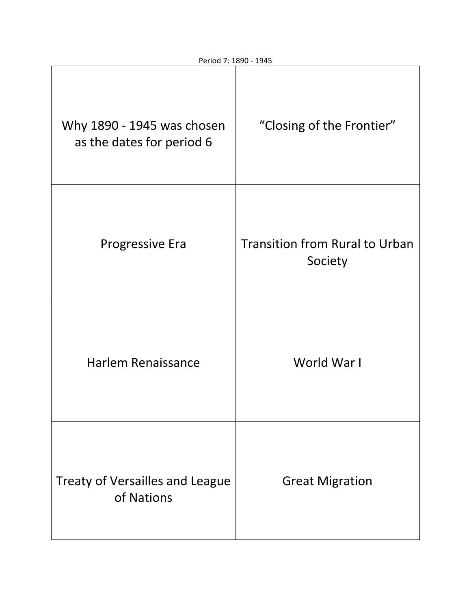| Why 1890 - 1945 was chosen<br>as the dates for period 6 | "Closing of the Frontier"                        |
|---------------------------------------------------------|--------------------------------------------------|
| <b>Progressive Era</b>                                  | <b>Transition from Rural to Urban</b><br>Society |
| <b>Harlem Renaissance</b>                               | World War I                                      |
| <b>Treaty of Versailles and League</b><br>of Nations    | <b>Great Migration</b>                           |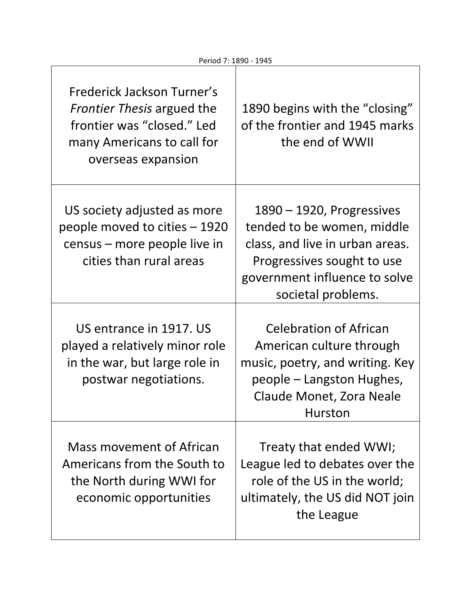| Frederick Jackson Turner's<br><i>Frontier Thesis</i> argued the<br>frontier was "closed." Led<br>many Americans to call for<br>overseas expansion | 1890 begins with the "closing"<br>of the frontier and 1945 marks<br>the end of WWII                                                                                                |
|---------------------------------------------------------------------------------------------------------------------------------------------------|------------------------------------------------------------------------------------------------------------------------------------------------------------------------------------|
| US society adjusted as more<br>people moved to cities – 1920<br>census – more people live in<br>cities than rural areas                           | $1890 - 1920$ , Progressives<br>tended to be women, middle<br>class, and live in urban areas.<br>Progressives sought to use<br>government influence to solve<br>societal problems. |
| US entrance in 1917. US<br>played a relatively minor role<br>in the war, but large role in<br>postwar negotiations.                               | <b>Celebration of African</b><br>American culture through<br>music, poetry, and writing. Key<br>people – Langston Hughes,<br>Claude Monet, Zora Neale<br><b>Hurston</b>            |
| Mass movement of African<br>Americans from the South to<br>the North during WWI for<br>economic opportunities                                     | Treaty that ended WWI;<br>League led to debates over the<br>role of the US in the world;<br>ultimately, the US did NOT join<br>the League                                          |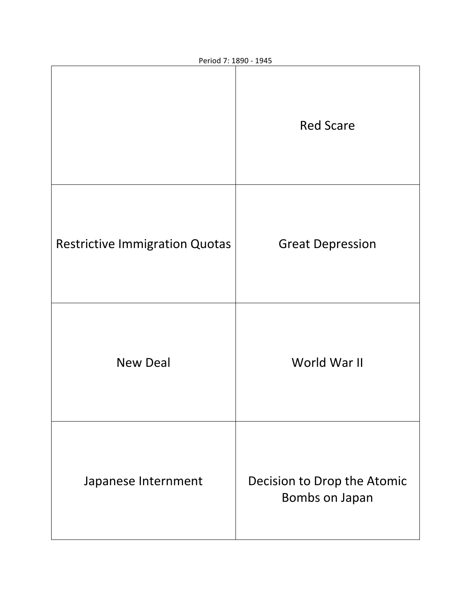|                                       | <b>Red Scare</b>                              |
|---------------------------------------|-----------------------------------------------|
| <b>Restrictive Immigration Quotas</b> | <b>Great Depression</b>                       |
| <b>New Deal</b>                       | World War II                                  |
| Japanese Internment                   | Decision to Drop the Atomic<br>Bombs on Japan |